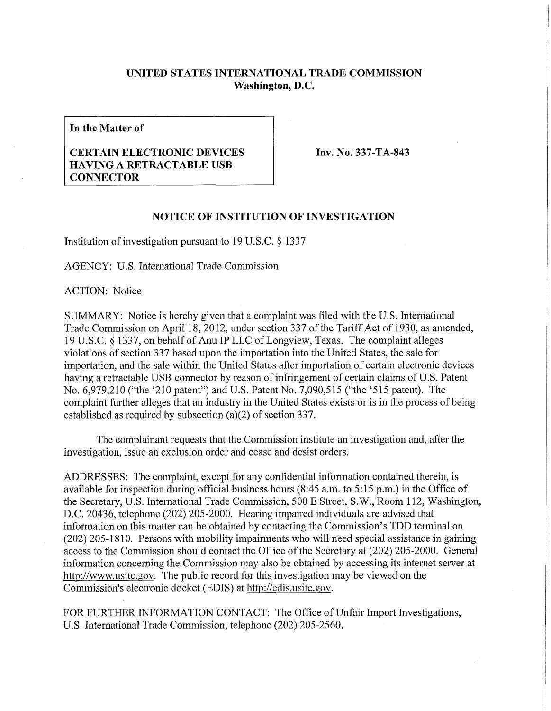## **UNITED STATES INTERNATIONAL TRADE COMMISSION Washington, D.C.**

**In the Matter of** 

## **CERTAIN ELECTRONIC DEVICES HAVING A RETRACTABLE USB CONNECTOR**

**Inv. No. 337-TA-843** 

## **NOTICE OF INSTITUTION OF INVESTIGATION**

Institution of investigation pursuant to 19 U.S.C. § 1337

AGENCY: U.S. International Trade Commission

ACTION: Notice

SUMMARY: Notice is hereby given that a complaint was filed with the U.S. International Trade Commission on April 18, 2012, under section 337 of the Tariff Act of 1930, as amended, 19 U.S.C. § 1337, on behalf of Anu IP LLC of Longview, Texas. The complaint alleges violations of section 337 based upon the importation into the United States, the sale for importation, and the sale within the United States after importation of certain electronic devices having a retractable USB connector by reason of infringement of certain claims of U.S. Patent No. 6,979,210 ("the '210 patent") and U.S. Patent No. 7,090,515 ("the '515 patent). The complaint further alleges that an industry in the United States exists or is in the process of being established as required by subsection (a)(2) of section 337.

The complainant requests that the Commission institute an investigation and, after the investigation, issue an exclusion order and cease and desist orders.

ADDRESSES: The complaint, except for any confidential information contained therein, is available for inspection during official business hours (8:45 a.m. to 5:15 p.m.) in the Office of the Secretary, U.S. International Trade Commission, 500 E Street, S.W., Room 112, Washington, D.C. 20436, telephone (202) 205-2000. Hearing impaired individuals are advised that information on this matter can be obtained by contacting the Commission's TDD terminal on (202) 205-1810. Persons with mobility impairments who will need special assistance in gaining access to the Commission should contact the Office of the Secretary at (202) 205-2000. General information concerning the Commission may also be obtained by accessing its internet server at http://www.usitc.gov. The public record for this investigation may be viewed on the Commission's electronic docket (EDIS) at http://edis.usitc.gov.

FOR FURTHER INFORMATION CONTACT: The Office of Unfair Import Investigations, U.S. International Trade Commission, telephone (202) 205-2560.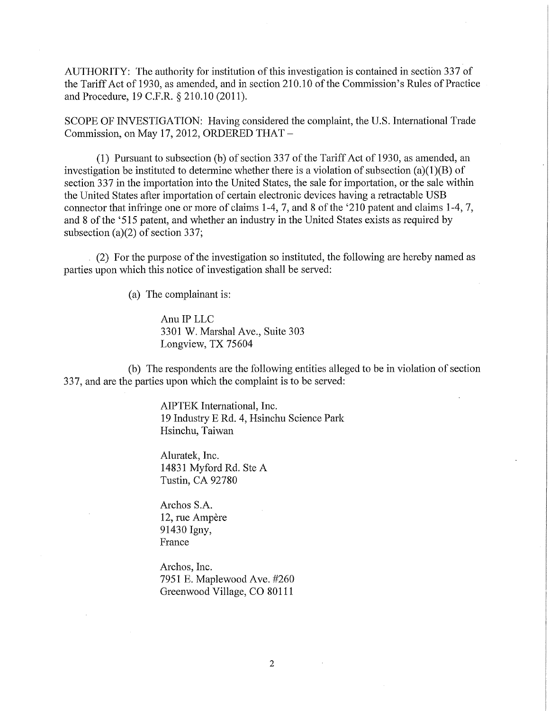AUTHORITY: The authority for institution of this investigation is contained in section 337 of the Tariff Act of 1930, as amended, and in section 210.10 of the Commission's Rules of Practice and Procedure, 19 C.F.R. § 210.10 (2011).

SCOPE OF INVESTIGATION: Having considered the complaint, the U.S. International Trade Commission, on May 17, 2012, ORDERED THAT -

(1) Pursuant to subsection (b) of section 337 of the Tariff Act of 1930, as amended, an investigation be instituted to determine whether there is a violation of subsection (a)(1)(B) of section 337 in the importation into the United States, the sale for importation, or the sale within the United States after importation of certain electronic devices having a retractable USB connector that infringe one or more of claims 1-4, 7, and 8 of the '210 patent and claims 1-4, 7, and 8 of the '515 patent, and whether an industry in the United States exists as required by subsection (a)(2) of section 337;

(2) For the purpose of the investigation so instituted, the following are hereby named as parties upon which this notice of investigation shall be served:

(a) The complainant is:

Anu IP LLC 3301 W. Marshal Ave., Suite 303 Longview, TX 75604

(b) The respondents are the following entities alleged to be in violation of section 337, and are the parties upon which the complaint is to be served:

> AIPTEK International, Inc. 19 Industry E Rd. 4, Hsinchu Science Park Hsinchu, Taiwan

Aluratek, Inc. 14831 Myford Rd. Ste A Tustin, CA 92780

Archos S.A. 12, rue Ampère 91430 Igny, France

Archos, Inc. 7951 E. Maplewood Ave. #260 Greenwood Village, CO 80111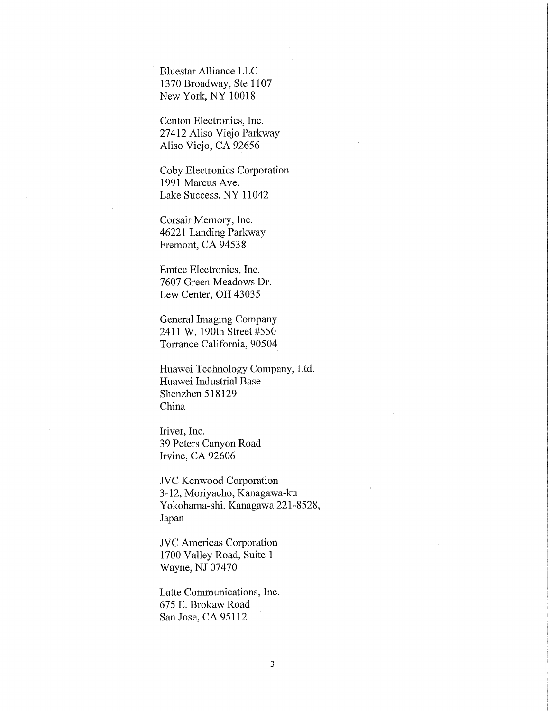Bluestar Alliance LLC 1370 Broadway, Ste 1107 New York, NY 10018

Centon Electronics, Inc. 27412 Aliso Viejo Parkway Aliso Viejo, CA 92656

Coby Electronics Corporation 1991 Marcus Ave. Lake Success, NY 11042

Corsair Memory, Inc. 46221 Landing Parkway Fremont, CA 94538

Emtec Electronics, Inc. 7607 Green Meadows Dr. Lew Center, OH 43035

General Imaging Company 2411 W. 190th Street #550 Torrance California, 90504

Huawei Technology Company, Ltd. Huawei Industrial Base Shenzhen 518129 China

Iriver, Inc. 39 Peters Canyon Road Irvine, CA 92606

JVC Kenwood Corporation 3-12, Moriyacho, Kanagawa-ku Yokohama-shi, Kanagawa 221-8528, Japan

JVC Americas Corporation 1700 Valley Road, Suite 1 Wayne, NJ 07470

Latte Communications, Inc. 675 E. Brokaw Road San Jose, CA 95112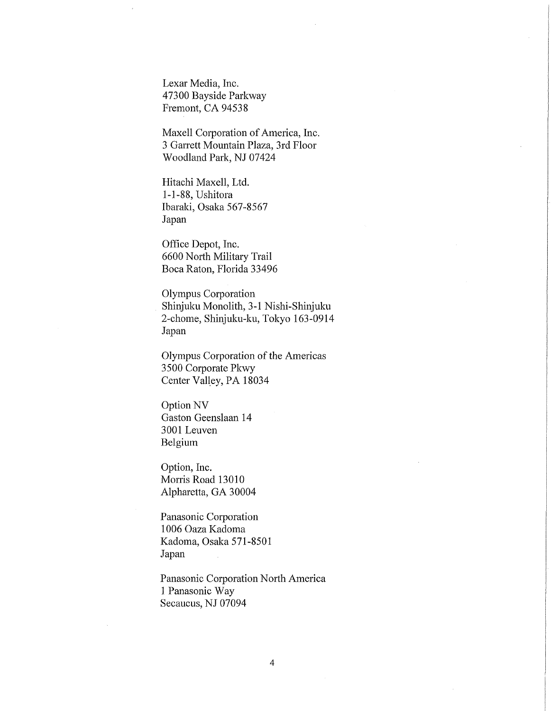Lexar Media, Inc. 47300 Bayside Parkway Fremont, CA 94538

Maxell Corporation of America, Inc. 3 Garrett Mountain Plaza, 3rd Floor Woodland Park, NJ 07424

Hitachi Maxell, Ltd. 1-1-88, Ushitora Ibaraki, Osaka 567-8567 Japan

Office Depot, Inc. 6600 North Military Trail Boca Raton, Florida 33496

Olympus Corporation Shinjuku Monolith, 3-1 Nishi-Shinjuku 2- chome, Shinjuku-ku, Tokyo 163-0914 Japan

Olympus Corporation of the Americas 3500 Corporate Pkwy Center Valley, PA 18034

Option NV Gaston Geenslaan 14 3001 Leuven Belgium

Option, Inc. Morris Road 13010 Alpharetta, GA 30004

Panasonic Corporation 1006 Oaza Kadoma Kadoma, Osaka 571-8501 Japan

Panasonic Corporation North America 1 Panasonic Way Secaucus, NJ 07094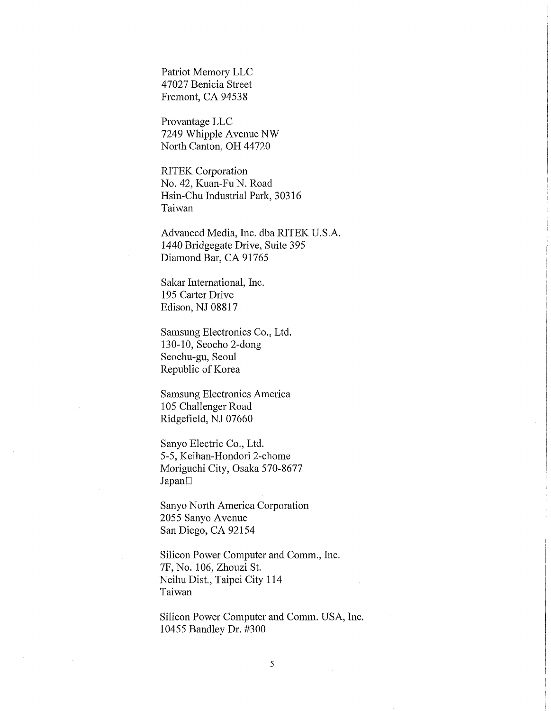Patriot Memory LLC 47027 Benicia Street Fremont, CA 94538

Provantage LLC 7249 Whipple Avenue NW North Canton, OH 44720

**RITEK Corporation** No. 42, Kuan-FuN. Road Hsin-Chu Industrial Park, 30316 Taiwan

Advanced Media, Inc. dba RITEK U.S.A. 1440 Bridgegate Drive, Suite 395 Diamond Bar, CA 91765

Sakar International, Inc. 195 Carter Drive Edison, NJ 08817

Samsung Electronics Co., Ltd. 130-10, Seocho2-dong Seochu-gu, Seoul Republic of Korea

Samsung Electronics America 105 Challenger Road Ridgefield, NJ 07660

Sanyo Electric Co., Ltd. 5-5, Keihan-Hondori 2-chome Moriguchi City, Osaka 570-8677 Japan<sup>[]</sup>

Sanyo North America Corporation 2055 Sanyo Avenue San Diego, CA 92154

Silicon Power Computer and Comm., Inc. 7F,No. 106,Zhouzi St. Neihu Dist., Taipei City 114 Taiwan

Silicon Power Computer and Comm. USA, Inc. 10455 Bandley Dr. #300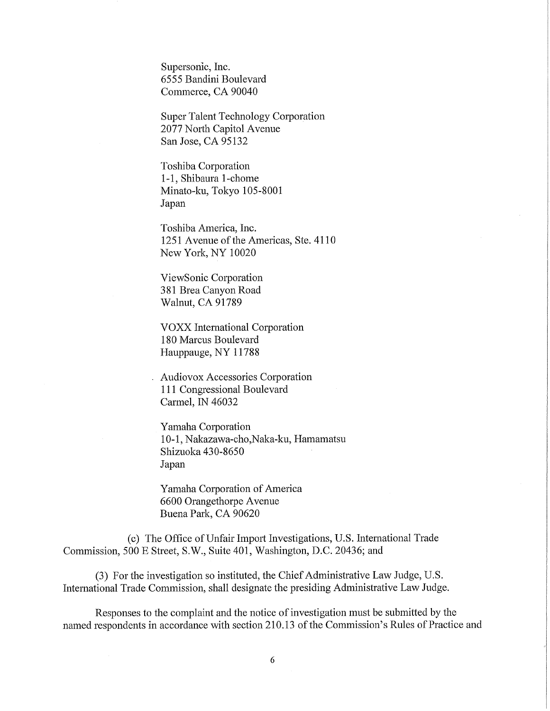Supersonic, Inc. 6555 Bandini Boulevard Commerce, CA 90040

Super Talent Technology Corporation 2077 North Capitol Avenue San Jose, CA 95132

Toshiba Corporation 1-1, Shibaura 1-chome Minato-ku, Tokyo 105-8001 Japan

Toshiba America, Inc. 1251 Avenue of the Americas, Ste. 4110 New York, NY 10020

ViewSonic Corporation 381 Brea Canyon Road Walnut, CA 91789

VOXX International Corporation 180 Marcus Boulevard Hauppauge, NY 11788

. Audiovox Accessories Corporation 111 Congressional Boulevard Carmel, IN 46032

Yamaha Corporation 10-1, Nakazawa-cho,Naka-ku, Hamamatsu Shizuoka 430-8650 Japan

Yamaha Corporation of America 6600 Orangethorpe Avenue Buena Park, CA 90620

(c) The Office of Unfair Import Investigations, U.S. International Trade Commission, 500 E Street, S.W., Suite 401, Washington, D.C. 20436; and

(3) For the investigation so instituted, the Chief Administrative Law Judge, U.S. International Trade Commission, shall designate the presiding Administrative Law Judge.

Responses to the complaint and the notice of investigation must be submitted by the named respondents in accordance with section 210.13 of the Commission's Rules of Practice and